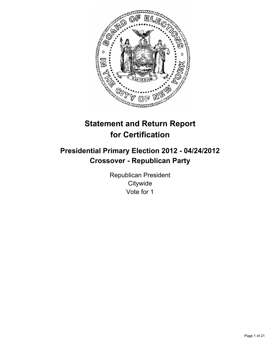

# **Statement and Return Report for Certification**

# **Presidential Primary Election 2012 - 04/24/2012 Crossover - Republican Party**

Republican President **Citywide** Vote for 1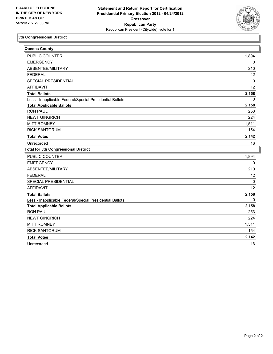

| Queens County                                            |              |
|----------------------------------------------------------|--------------|
| PUBLIC COUNTER                                           | 1,894        |
| <b>EMERGENCY</b>                                         | 0            |
| ABSENTEE/MILITARY                                        | 210          |
| <b>FEDERAL</b>                                           | 42           |
| SPECIAL PRESIDENTIAL                                     | 0            |
| <b>AFFIDAVIT</b>                                         | 12           |
| <b>Total Ballots</b>                                     | 2,158        |
| Less - Inapplicable Federal/Special Presidential Ballots | $\mathbf{0}$ |
| <b>Total Applicable Ballots</b>                          | 2,158        |
| <b>RON PAUL</b>                                          | 253          |
| <b>NEWT GINGRICH</b>                                     | 224          |
| <b>MITT ROMNEY</b>                                       | 1,511        |
| <b>RICK SANTORUM</b>                                     | 154          |
| <b>Total Votes</b>                                       | 2,142        |
| Unrecorded                                               | 16           |
| <b>Total for 5th Congressional District</b>              |              |
| <b>PUBLIC COUNTER</b>                                    | 1,894        |
| <b>EMERGENCY</b>                                         | 0            |
| ABSENTEE/MILITARY                                        | 210          |
| <b>FEDERAL</b>                                           | 42           |
| <b>SPECIAL PRESIDENTIAL</b>                              | 0            |
| <b>AFFIDAVIT</b>                                         | 12           |
| <b>Total Ballots</b>                                     | 2,158        |
| Less - Inapplicable Federal/Special Presidential Ballots | $\mathbf 0$  |
| <b>Total Applicable Ballots</b>                          | 2,158        |
| <b>RON PAUL</b>                                          | 253          |
| <b>NEWT GINGRICH</b>                                     | 224          |
| <b>MITT ROMNEY</b>                                       | 1,511        |
| <b>RICK SANTORUM</b>                                     | 154          |
| <b>Total Votes</b>                                       | 2,142        |
| Unrecorded                                               | 16           |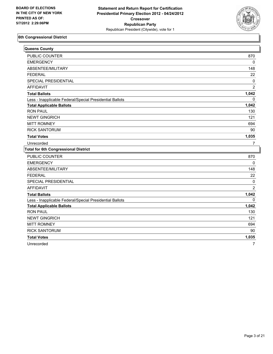

| Queens County                                            |                |
|----------------------------------------------------------|----------------|
| <b>PUBLIC COUNTER</b>                                    | 870            |
| <b>EMERGENCY</b>                                         | 0              |
| ABSENTEE/MILITARY                                        | 148            |
| <b>FEDERAL</b>                                           | 22             |
| SPECIAL PRESIDENTIAL                                     | 0              |
| <b>AFFIDAVIT</b>                                         | $\overline{2}$ |
| <b>Total Ballots</b>                                     | 1,042          |
| Less - Inapplicable Federal/Special Presidential Ballots | 0              |
| <b>Total Applicable Ballots</b>                          | 1,042          |
| <b>RON PAUL</b>                                          | 130            |
| <b>NEWT GINGRICH</b>                                     | 121            |
| <b>MITT ROMNEY</b>                                       | 694            |
| <b>RICK SANTORUM</b>                                     | 90             |
| <b>Total Votes</b>                                       | 1,035          |
| Unrecorded                                               | $\overline{7}$ |
| <b>Total for 6th Congressional District</b>              |                |
| <b>PUBLIC COUNTER</b>                                    | 870            |
| <b>EMERGENCY</b>                                         | 0              |
| ABSENTEE/MILITARY                                        | 148            |
| <b>FEDERAL</b>                                           | 22             |
| SPECIAL PRESIDENTIAL                                     | 0              |
| <b>AFFIDAVIT</b>                                         | $\overline{2}$ |
| <b>Total Ballots</b>                                     | 1,042          |
| Less - Inapplicable Federal/Special Presidential Ballots | 0              |
| <b>Total Applicable Ballots</b>                          | 1,042          |
| <b>RON PAUL</b>                                          | 130            |
| <b>NEWT GINGRICH</b>                                     | 121            |
| <b>MITT ROMNEY</b>                                       | 694            |
| <b>RICK SANTORUM</b>                                     | 90             |
| <b>Total Votes</b>                                       | 1,035          |
| Unrecorded                                               | $\overline{7}$ |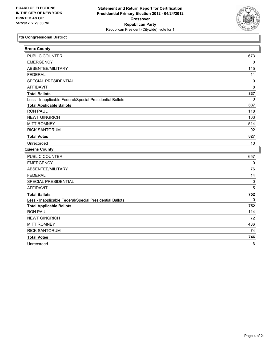

| <b>Bronx County</b>                                      |             |
|----------------------------------------------------------|-------------|
| <b>PUBLIC COUNTER</b>                                    | 673         |
| <b>EMERGENCY</b>                                         | 0           |
| ABSENTEE/MILITARY                                        | 145         |
| <b>FEDERAL</b>                                           | 11          |
| SPECIAL PRESIDENTIAL                                     | 0           |
| <b>AFFIDAVIT</b>                                         | 8           |
| <b>Total Ballots</b>                                     | 837         |
| Less - Inapplicable Federal/Special Presidential Ballots | $\mathbf 0$ |
| <b>Total Applicable Ballots</b>                          | 837         |
| <b>RON PAUL</b>                                          | 118         |
| <b>NEWT GINGRICH</b>                                     | 103         |
| <b>MITT ROMNEY</b>                                       | 514         |
| <b>RICK SANTORUM</b>                                     | 92          |
| <b>Total Votes</b>                                       | 827         |
| Unrecorded                                               | 10          |
| Queens County                                            |             |
| PUBLIC COUNTER                                           | 657         |
| <b>EMERGENCY</b>                                         | 0           |
| ABSENTEE/MILITARY                                        | 76          |
| <b>FEDERAL</b>                                           | 14          |
| SPECIAL PRESIDENTIAL                                     | 0           |
| <b>AFFIDAVIT</b>                                         | 5           |
| <b>Total Ballots</b>                                     | 752         |
| Less - Inapplicable Federal/Special Presidential Ballots | 0           |
| <b>Total Applicable Ballots</b>                          | 752         |
| <b>RON PAUL</b>                                          | 114         |
| <b>NEWT GINGRICH</b>                                     | 72          |
| <b>MITT ROMNEY</b>                                       | 486         |
| <b>RICK SANTORUM</b>                                     | 74          |
| <b>Total Votes</b>                                       | 746         |
| Unrecorded                                               | 6           |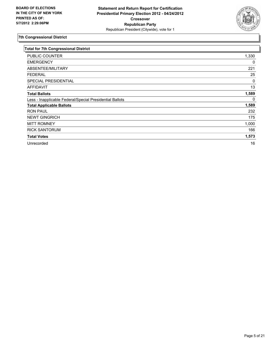

| <b>Total for 7th Congressional District</b>              |       |
|----------------------------------------------------------|-------|
| PUBLIC COUNTER                                           | 1,330 |
| <b>EMERGENCY</b>                                         | 0     |
| ABSENTEE/MILITARY                                        | 221   |
| <b>FEDERAL</b>                                           | 25    |
| SPECIAL PRESIDENTIAL                                     | 0     |
| <b>AFFIDAVIT</b>                                         | 13    |
| <b>Total Ballots</b>                                     | 1,589 |
| Less - Inapplicable Federal/Special Presidential Ballots | 0     |
| <b>Total Applicable Ballots</b>                          | 1,589 |
| <b>RON PAUL</b>                                          | 232   |
| <b>NEWT GINGRICH</b>                                     | 175   |
| <b>MITT ROMNEY</b>                                       | 1,000 |
| <b>RICK SANTORUM</b>                                     | 166   |
| <b>Total Votes</b>                                       | 1,573 |
| Unrecorded                                               | 16    |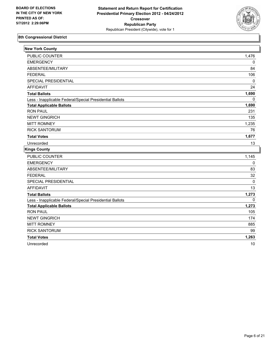

| <b>New York County</b>                                   |              |
|----------------------------------------------------------|--------------|
| <b>PUBLIC COUNTER</b>                                    | 1,476        |
| <b>EMERGENCY</b>                                         | 0            |
| ABSENTEE/MILITARY                                        | 84           |
| <b>FEDERAL</b>                                           | 106          |
| SPECIAL PRESIDENTIAL                                     | 0            |
| <b>AFFIDAVIT</b>                                         | 24           |
| <b>Total Ballots</b>                                     | 1,690        |
| Less - Inapplicable Federal/Special Presidential Ballots | $\Omega$     |
| <b>Total Applicable Ballots</b>                          | 1,690        |
| <b>RON PAUL</b>                                          | 231          |
| <b>NEWT GINGRICH</b>                                     | 135          |
| <b>MITT ROMNEY</b>                                       | 1,235        |
| <b>RICK SANTORUM</b>                                     | 76           |
| <b>Total Votes</b>                                       | 1,677        |
| Unrecorded                                               | 13           |
| <b>Kings County</b>                                      |              |
| <b>PUBLIC COUNTER</b>                                    | 1,145        |
| <b>EMERGENCY</b>                                         | 0            |
| ABSENTEE/MILITARY                                        | 83           |
| <b>FEDERAL</b>                                           | 32           |
| SPECIAL PRESIDENTIAL                                     | 0            |
| <b>AFFIDAVIT</b>                                         | 13           |
| <b>Total Ballots</b>                                     | 1,273        |
| Less - Inapplicable Federal/Special Presidential Ballots | $\mathbf{0}$ |
| <b>Total Applicable Ballots</b>                          | 1,273        |
| <b>RON PAUL</b>                                          | 105          |
| <b>NEWT GINGRICH</b>                                     | 174          |
| <b>MITT ROMNEY</b>                                       | 885          |
| <b>RICK SANTORUM</b>                                     | 99           |
| <b>Total Votes</b>                                       | 1,263        |
| Unrecorded                                               | 10           |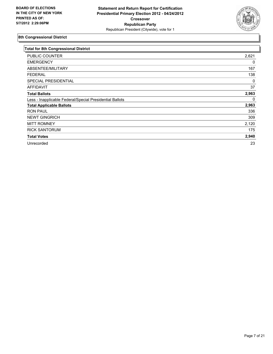

| <b>Total for 8th Congressional District</b>              |       |
|----------------------------------------------------------|-------|
| PUBLIC COUNTER                                           | 2,621 |
| <b>EMERGENCY</b>                                         | 0     |
| ABSENTEE/MILITARY                                        | 167   |
| <b>FEDERAL</b>                                           | 138   |
| SPECIAL PRESIDENTIAL                                     | 0     |
| <b>AFFIDAVIT</b>                                         | 37    |
| <b>Total Ballots</b>                                     | 2,963 |
| Less - Inapplicable Federal/Special Presidential Ballots | 0     |
| <b>Total Applicable Ballots</b>                          | 2,963 |
| <b>RON PAUL</b>                                          | 336   |
| <b>NEWT GINGRICH</b>                                     | 309   |
| <b>MITT ROMNEY</b>                                       | 2,120 |
| <b>RICK SANTORUM</b>                                     | 175   |
| <b>Total Votes</b>                                       | 2,940 |
| Unrecorded                                               | 23    |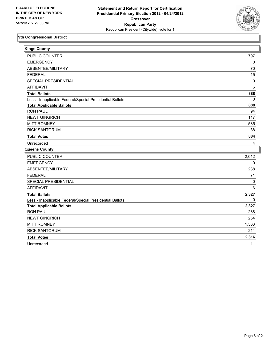

| <b>Kings County</b>                                      |              |
|----------------------------------------------------------|--------------|
| PUBLIC COUNTER                                           | 797          |
| <b>EMERGENCY</b>                                         | 0            |
| ABSENTEE/MILITARY                                        | 70           |
| <b>FEDERAL</b>                                           | 15           |
| <b>SPECIAL PRESIDENTIAL</b>                              | $\mathbf 0$  |
| <b>AFFIDAVIT</b>                                         | 6            |
| <b>Total Ballots</b>                                     | 888          |
| Less - Inapplicable Federal/Special Presidential Ballots | 0            |
| <b>Total Applicable Ballots</b>                          | 888          |
| <b>RON PAUL</b>                                          | 94           |
| <b>NEWT GINGRICH</b>                                     | 117          |
| <b>MITT ROMNEY</b>                                       | 585          |
| <b>RICK SANTORUM</b>                                     | 88           |
| <b>Total Votes</b>                                       | 884          |
| Unrecorded                                               | 4            |
| Queens County                                            |              |
| <b>PUBLIC COUNTER</b>                                    | 2,012        |
| <b>EMERGENCY</b>                                         | 0            |
| ABSENTEE/MILITARY                                        | 238          |
| <b>FEDERAL</b>                                           | 71           |
| SPECIAL PRESIDENTIAL                                     | 0            |
| <b>AFFIDAVIT</b>                                         | 6            |
| <b>Total Ballots</b>                                     | 2,327        |
| Less - Inapplicable Federal/Special Presidential Ballots | $\mathbf{0}$ |
| <b>Total Applicable Ballots</b>                          | 2,327        |
| <b>RON PAUL</b>                                          | 288          |
| <b>NEWT GINGRICH</b>                                     | 254          |
| <b>MITT ROMNEY</b>                                       | 1,563        |
| <b>RICK SANTORUM</b>                                     | 211          |
| <b>Total Votes</b>                                       | 2,316        |
| Unrecorded                                               | 11           |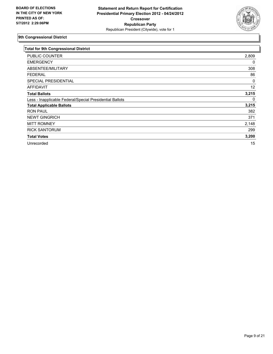

| <b>Total for 9th Congressional District</b>              |       |
|----------------------------------------------------------|-------|
| PUBLIC COUNTER                                           | 2,809 |
| <b>EMERGENCY</b>                                         | 0     |
| ABSENTEE/MILITARY                                        | 308   |
| <b>FEDERAL</b>                                           | 86    |
| SPECIAL PRESIDENTIAL                                     | 0     |
| <b>AFFIDAVIT</b>                                         | 12    |
| <b>Total Ballots</b>                                     | 3,215 |
| Less - Inapplicable Federal/Special Presidential Ballots | 0     |
| <b>Total Applicable Ballots</b>                          | 3,215 |
| <b>RON PAUL</b>                                          | 382   |
| <b>NEWT GINGRICH</b>                                     | 371   |
| <b>MITT ROMNEY</b>                                       | 2,148 |
| <b>RICK SANTORUM</b>                                     | 299   |
| <b>Total Votes</b>                                       | 3,200 |
| Unrecorded                                               | 15    |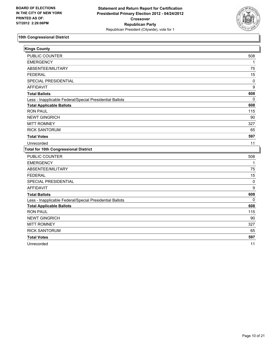

| <b>Kings County</b>                                      |          |
|----------------------------------------------------------|----------|
| <b>PUBLIC COUNTER</b>                                    | 508      |
| <b>EMERGENCY</b>                                         | 1        |
| ABSENTEE/MILITARY                                        | 75       |
| <b>FEDERAL</b>                                           | 15       |
| SPECIAL PRESIDENTIAL                                     | 0        |
| <b>AFFIDAVIT</b>                                         | 9        |
| <b>Total Ballots</b>                                     | 608      |
| Less - Inapplicable Federal/Special Presidential Ballots | 0        |
| <b>Total Applicable Ballots</b>                          | 608      |
| <b>RON PAUL</b>                                          | 115      |
| <b>NEWT GINGRICH</b>                                     | 90       |
| <b>MITT ROMNEY</b>                                       | 327      |
| <b>RICK SANTORUM</b>                                     | 65       |
| <b>Total Votes</b>                                       | 597      |
| Unrecorded                                               | 11       |
| <b>Total for 10th Congressional District</b>             |          |
| PUBLIC COUNTER                                           | 508      |
| <b>EMERGENCY</b>                                         | 1        |
| ABSENTEE/MILITARY                                        | 75       |
| <b>FEDERAL</b>                                           | 15       |
| SPECIAL PRESIDENTIAL                                     | 0        |
| <b>AFFIDAVIT</b>                                         | 9        |
| <b>Total Ballots</b>                                     | 608      |
| Less - Inapplicable Federal/Special Presidential Ballots | $\Omega$ |
| <b>Total Applicable Ballots</b>                          | 608      |
| <b>RON PAUL</b>                                          | 115      |
| <b>NEWT GINGRICH</b>                                     | 90       |
| <b>MITT ROMNEY</b>                                       | 327      |
| <b>RICK SANTORUM</b>                                     | 65       |
| <b>Total Votes</b>                                       | 597      |
| Unrecorded                                               | 11       |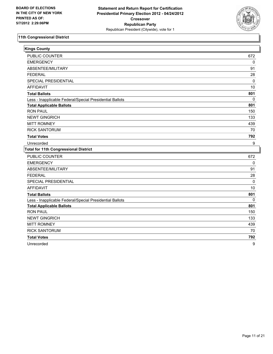

| <b>Kings County</b>                                      |     |
|----------------------------------------------------------|-----|
| <b>PUBLIC COUNTER</b>                                    | 672 |
| <b>EMERGENCY</b>                                         | 0   |
| ABSENTEE/MILITARY                                        | 91  |
| <b>FEDERAL</b>                                           | 28  |
| SPECIAL PRESIDENTIAL                                     | 0   |
| <b>AFFIDAVIT</b>                                         | 10  |
| <b>Total Ballots</b>                                     | 801 |
| Less - Inapplicable Federal/Special Presidential Ballots | 0   |
| <b>Total Applicable Ballots</b>                          | 801 |
| <b>RON PAUL</b>                                          | 150 |
| <b>NEWT GINGRICH</b>                                     | 133 |
| <b>MITT ROMNEY</b>                                       | 439 |
| <b>RICK SANTORUM</b>                                     | 70  |
| <b>Total Votes</b>                                       | 792 |
| Unrecorded                                               | 9   |
| <b>Total for 11th Congressional District</b>             |     |
| PUBLIC COUNTER                                           | 672 |
| <b>EMERGENCY</b>                                         | 0   |
| ABSENTEE/MILITARY                                        | 91  |
| <b>FEDERAL</b>                                           | 28  |
| SPECIAL PRESIDENTIAL                                     | 0   |
| <b>AFFIDAVIT</b>                                         | 10  |
| <b>Total Ballots</b>                                     | 801 |
| Less - Inapplicable Federal/Special Presidential Ballots | 0   |
| <b>Total Applicable Ballots</b>                          | 801 |
| <b>RON PAUL</b>                                          | 150 |
| <b>NEWT GINGRICH</b>                                     | 133 |
| <b>MITT ROMNEY</b>                                       | 439 |
| <b>RICK SANTORUM</b>                                     | 70  |
| <b>Total Votes</b>                                       | 792 |
| Unrecorded                                               | 9   |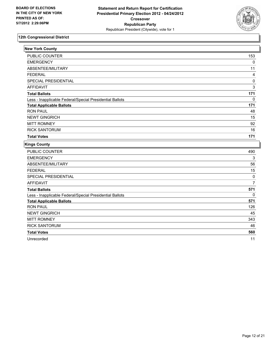

| <b>New York County</b>                                   |                |
|----------------------------------------------------------|----------------|
| <b>PUBLIC COUNTER</b>                                    | 153            |
| <b>EMERGENCY</b>                                         | 0              |
| ABSENTEE/MILITARY                                        | 11             |
| <b>FEDERAL</b>                                           | 4              |
| SPECIAL PRESIDENTIAL                                     | 0              |
| <b>AFFIDAVIT</b>                                         | 3              |
| <b>Total Ballots</b>                                     | 171            |
| Less - Inapplicable Federal/Special Presidential Ballots | $\mathbf{0}$   |
| <b>Total Applicable Ballots</b>                          | 171            |
| <b>RON PAUL</b>                                          | 48             |
| <b>NEWT GINGRICH</b>                                     | 15             |
| <b>MITT ROMNEY</b>                                       | 92             |
| <b>RICK SANTORUM</b>                                     | 16             |
| <b>Total Votes</b>                                       | 171            |
| <b>Kings County</b>                                      |                |
| PUBLIC COUNTER                                           | 490            |
| <b>EMERGENCY</b>                                         | 3              |
| ABSENTEE/MILITARY                                        | 56             |
| <b>FEDERAL</b>                                           | 15             |
| SPECIAL PRESIDENTIAL                                     | 0              |
| <b>AFFIDAVIT</b>                                         | $\overline{7}$ |
| <b>Total Ballots</b>                                     | 571            |
| Less - Inapplicable Federal/Special Presidential Ballots | 0              |
| <b>Total Applicable Ballots</b>                          | 571            |
| <b>RON PAUL</b>                                          | 126            |
| <b>NEWT GINGRICH</b>                                     | 45             |
| <b>MITT ROMNEY</b>                                       | 343            |
| <b>RICK SANTORUM</b>                                     | 46             |
| <b>Total Votes</b>                                       | 560            |
| Unrecorded                                               | 11             |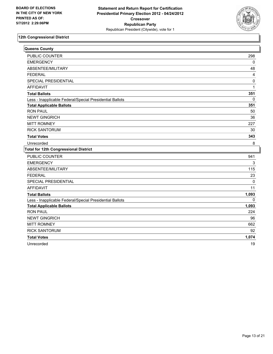

| Queens County                                            |              |
|----------------------------------------------------------|--------------|
| <b>PUBLIC COUNTER</b>                                    | 298          |
| <b>EMERGENCY</b>                                         | 0            |
| ABSENTEE/MILITARY                                        | 48           |
| <b>FEDERAL</b>                                           | 4            |
| SPECIAL PRESIDENTIAL                                     | $\mathbf 0$  |
| <b>AFFIDAVIT</b>                                         | $\mathbf{1}$ |
| <b>Total Ballots</b>                                     | 351          |
| Less - Inapplicable Federal/Special Presidential Ballots | 0            |
| <b>Total Applicable Ballots</b>                          | 351          |
| <b>RON PAUL</b>                                          | 50           |
| <b>NEWT GINGRICH</b>                                     | 36           |
| <b>MITT ROMNEY</b>                                       | 227          |
| <b>RICK SANTORUM</b>                                     | 30           |
| <b>Total Votes</b>                                       | 343          |
| Unrecorded                                               | 8            |
| <b>Total for 12th Congressional District</b>             |              |
| PUBLIC COUNTER                                           | 941          |
| <b>EMERGENCY</b>                                         | 3            |
| ABSENTEE/MILITARY                                        | 115          |
| <b>FEDERAL</b>                                           | 23           |
| SPECIAL PRESIDENTIAL                                     | 0            |
| <b>AFFIDAVIT</b>                                         | 11           |
| <b>Total Ballots</b>                                     | 1,093        |
| Less - Inapplicable Federal/Special Presidential Ballots | $\mathbf{0}$ |
| <b>Total Applicable Ballots</b>                          | 1,093        |
| <b>RON PAUL</b>                                          | 224          |
| <b>NEWT GINGRICH</b>                                     | 96           |
| <b>MITT ROMNEY</b>                                       | 662          |
| <b>RICK SANTORUM</b>                                     | 92           |
| <b>Total Votes</b>                                       | 1,074        |
| Unrecorded                                               | 19           |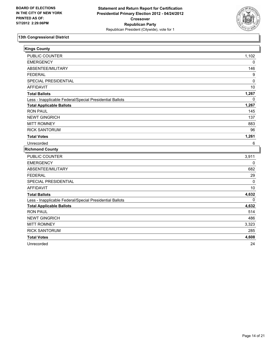

| <b>Kings County</b>                                      |             |
|----------------------------------------------------------|-------------|
| PUBLIC COUNTER                                           | 1,102       |
| <b>EMERGENCY</b>                                         | 0           |
| ABSENTEE/MILITARY                                        | 146         |
| <b>FEDERAL</b>                                           | 9           |
| SPECIAL PRESIDENTIAL                                     | 0           |
| <b>AFFIDAVIT</b>                                         | 10          |
| <b>Total Ballots</b>                                     | 1,267       |
| Less - Inapplicable Federal/Special Presidential Ballots | $\mathbf 0$ |
| <b>Total Applicable Ballots</b>                          | 1,267       |
| <b>RON PAUL</b>                                          | 145         |
| <b>NEWT GINGRICH</b>                                     | 137         |
| <b>MITT ROMNEY</b>                                       | 883         |
| <b>RICK SANTORUM</b>                                     | 96          |
| <b>Total Votes</b>                                       | 1,261       |
| Unrecorded                                               | 6           |
| <b>Richmond County</b>                                   |             |
| PUBLIC COUNTER                                           | 3,911       |
| <b>EMERGENCY</b>                                         | 0           |
| ABSENTEE/MILITARY                                        | 682         |
| <b>FEDERAL</b>                                           | 29          |
| SPECIAL PRESIDENTIAL                                     | 0           |
| <b>AFFIDAVIT</b>                                         | 10          |
| <b>Total Ballots</b>                                     | 4,632       |
| Less - Inapplicable Federal/Special Presidential Ballots | $\Omega$    |
| <b>Total Applicable Ballots</b>                          | 4,632       |
| <b>RON PAUL</b>                                          | 514         |
| <b>NEWT GINGRICH</b>                                     | 486         |
| <b>MITT ROMNEY</b>                                       | 3,323       |
| <b>RICK SANTORUM</b>                                     | 285         |
| <b>Total Votes</b>                                       | 4,608       |
| Unrecorded                                               | 24          |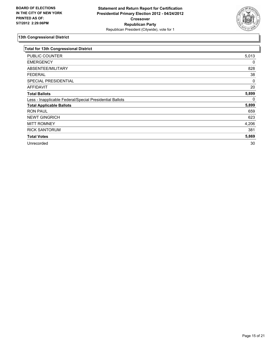

| Total for 13th Congressional District                    |       |
|----------------------------------------------------------|-------|
| PUBLIC COUNTER                                           | 5,013 |
| <b>EMERGENCY</b>                                         | 0     |
| ABSENTEE/MILITARY                                        | 828   |
| <b>FEDERAL</b>                                           | 38    |
| SPECIAL PRESIDENTIAL                                     | 0     |
| <b>AFFIDAVIT</b>                                         | 20    |
| <b>Total Ballots</b>                                     | 5,899 |
| Less - Inapplicable Federal/Special Presidential Ballots | 0     |
| <b>Total Applicable Ballots</b>                          | 5,899 |
| <b>RON PAUL</b>                                          | 659   |
| <b>NEWT GINGRICH</b>                                     | 623   |
| <b>MITT ROMNEY</b>                                       | 4,206 |
| <b>RICK SANTORUM</b>                                     | 381   |
| <b>Total Votes</b>                                       | 5,869 |
| Unrecorded                                               | 30    |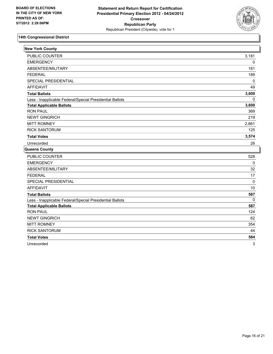

| <b>New York County</b>                                   |              |
|----------------------------------------------------------|--------------|
| <b>PUBLIC COUNTER</b>                                    | 3,181        |
| <b>EMERGENCY</b>                                         | 0            |
| ABSENTEE/MILITARY                                        | 181          |
| <b>FEDERAL</b>                                           | 189          |
| <b>SPECIAL PRESIDENTIAL</b>                              | 0            |
| <b>AFFIDAVIT</b>                                         | 49           |
| <b>Total Ballots</b>                                     | 3,600        |
| Less - Inapplicable Federal/Special Presidential Ballots | $\mathbf{0}$ |
| <b>Total Applicable Ballots</b>                          | 3,600        |
| <b>RON PAUL</b>                                          | 369          |
| <b>NEWT GINGRICH</b>                                     | 219          |
| <b>MITT ROMNEY</b>                                       | 2,861        |
| <b>RICK SANTORUM</b>                                     | 125          |
| <b>Total Votes</b>                                       | 3,574        |
| Unrecorded                                               | 26           |
| Queens County                                            |              |
| <b>PUBLIC COUNTER</b>                                    | 528          |
| <b>EMERGENCY</b>                                         | $\pmb{0}$    |
| ABSENTEE/MILITARY                                        | 32           |
| <b>FEDERAL</b>                                           | 17           |
| SPECIAL PRESIDENTIAL                                     | $\mathbf 0$  |
| <b>AFFIDAVIT</b>                                         | 10           |
| <b>Total Ballots</b>                                     | 587          |
| Less - Inapplicable Federal/Special Presidential Ballots | 0            |
| <b>Total Applicable Ballots</b>                          | 587          |
| <b>RON PAUL</b>                                          | 124          |
| <b>NEWT GINGRICH</b>                                     | 62           |
| <b>MITT ROMNEY</b>                                       | 354          |
| <b>RICK SANTORUM</b>                                     | 44           |
| <b>Total Votes</b>                                       | 584          |
| Unrecorded                                               | 3            |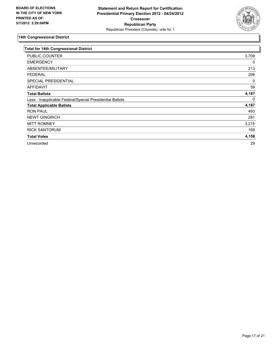

| <b>Total for 14th Congressional District</b>             |       |
|----------------------------------------------------------|-------|
| PUBLIC COUNTER                                           | 3,709 |
| <b>EMERGENCY</b>                                         | 0     |
| ABSENTEE/MILITARY                                        | 213   |
| <b>FEDERAL</b>                                           | 206   |
| SPECIAL PRESIDENTIAL                                     | 0     |
| <b>AFFIDAVIT</b>                                         | 59    |
| <b>Total Ballots</b>                                     | 4,187 |
| Less - Inapplicable Federal/Special Presidential Ballots | 0     |
| <b>Total Applicable Ballots</b>                          | 4,187 |
| <b>RON PAUL</b>                                          | 493   |
| <b>NEWT GINGRICH</b>                                     | 281   |
| <b>MITT ROMNEY</b>                                       | 3,215 |
| <b>RICK SANTORUM</b>                                     | 169   |
| <b>Total Votes</b>                                       | 4,158 |
| Unrecorded                                               | 29    |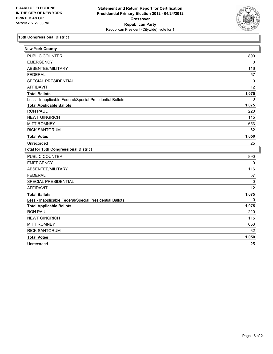

| <b>New York County</b>                                   |              |
|----------------------------------------------------------|--------------|
| PUBLIC COUNTER                                           | 890          |
| <b>EMERGENCY</b>                                         | 0            |
| ABSENTEE/MILITARY                                        | 116          |
| <b>FEDERAL</b>                                           | 57           |
| SPECIAL PRESIDENTIAL                                     | 0            |
| <b>AFFIDAVIT</b>                                         | 12           |
| <b>Total Ballots</b>                                     | 1,075        |
| Less - Inapplicable Federal/Special Presidential Ballots | 0            |
| <b>Total Applicable Ballots</b>                          | 1,075        |
| <b>RON PAUL</b>                                          | 220          |
| <b>NEWT GINGRICH</b>                                     | 115          |
| <b>MITT ROMNEY</b>                                       | 653          |
| <b>RICK SANTORUM</b>                                     | 62           |
| <b>Total Votes</b>                                       | 1,050        |
| Unrecorded                                               | 25           |
| <b>Total for 15th Congressional District</b>             |              |
| <b>PUBLIC COUNTER</b>                                    | 890          |
| <b>EMERGENCY</b>                                         | 0            |
| ABSENTEE/MILITARY                                        | 116          |
| <b>FEDERAL</b>                                           | 57           |
| SPECIAL PRESIDENTIAL                                     | 0            |
| <b>AFFIDAVIT</b>                                         | 12           |
| <b>Total Ballots</b>                                     | 1,075        |
| Less - Inapplicable Federal/Special Presidential Ballots | $\mathbf{0}$ |
| <b>Total Applicable Ballots</b>                          | 1,075        |
| <b>RON PAUL</b>                                          | 220          |
| <b>NEWT GINGRICH</b>                                     | 115          |
| <b>MITT ROMNEY</b>                                       | 653          |
| <b>RICK SANTORUM</b>                                     | 62           |
| <b>Total Votes</b>                                       | 1,050        |
| Unrecorded                                               | 25           |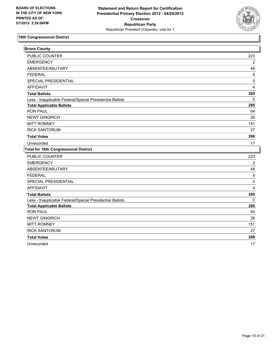

| <b>Bronx County</b>                                      |          |
|----------------------------------------------------------|----------|
| <b>PUBLIC COUNTER</b>                                    | 223      |
| <b>EMERGENCY</b>                                         | 2        |
| ABSENTEE/MILITARY                                        | 48       |
| <b>FEDERAL</b>                                           | 8        |
| SPECIAL PRESIDENTIAL                                     | 0        |
| <b>AFFIDAVIT</b>                                         | 4        |
| <b>Total Ballots</b>                                     | 285      |
| Less - Inapplicable Federal/Special Presidential Ballots | 0        |
| <b>Total Applicable Ballots</b>                          | 285      |
| <b>RON PAUL</b>                                          | 64       |
| <b>NEWT GINGRICH</b>                                     | 26       |
| <b>MITT ROMNEY</b>                                       | 151      |
| <b>RICK SANTORUM</b>                                     | 27       |
| <b>Total Votes</b>                                       | 268      |
| Unrecorded                                               | 17       |
| <b>Total for 16th Congressional District</b>             |          |
| PUBLIC COUNTER                                           | 223      |
| <b>EMERGENCY</b>                                         | 2        |
| ABSENTEE/MILITARY                                        | 48       |
| <b>FEDERAL</b>                                           | $\bf 8$  |
| SPECIAL PRESIDENTIAL                                     | 0        |
| <b>AFFIDAVIT</b>                                         | 4        |
| <b>Total Ballots</b>                                     | 285      |
| Less - Inapplicable Federal/Special Presidential Ballots | $\Omega$ |
| <b>Total Applicable Ballots</b>                          | 285      |
| <b>RON PAUL</b>                                          | 64       |
| <b>NEWT GINGRICH</b>                                     | 26       |
| <b>MITT ROMNEY</b>                                       | 151      |
| <b>RICK SANTORUM</b>                                     | 27       |
| <b>Total Votes</b>                                       | 268      |
| Unrecorded                                               | 17       |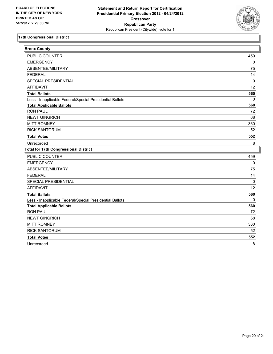

| <b>Bronx County</b>                                      |              |
|----------------------------------------------------------|--------------|
| <b>PUBLIC COUNTER</b>                                    | 459          |
| <b>EMERGENCY</b>                                         | 0            |
| ABSENTEE/MILITARY                                        | 75           |
| <b>FEDERAL</b>                                           | 14           |
| <b>SPECIAL PRESIDENTIAL</b>                              | 0            |
| <b>AFFIDAVIT</b>                                         | 12           |
| <b>Total Ballots</b>                                     | 560          |
| Less - Inapplicable Federal/Special Presidential Ballots | 0            |
| <b>Total Applicable Ballots</b>                          | 560          |
| <b>RON PAUL</b>                                          | 72           |
| <b>NEWT GINGRICH</b>                                     | 68           |
| <b>MITT ROMNEY</b>                                       | 360          |
| <b>RICK SANTORUM</b>                                     | 52           |
| <b>Total Votes</b>                                       | 552          |
| Unrecorded                                               | 8            |
| <b>Total for 17th Congressional District</b>             |              |
| <b>PUBLIC COUNTER</b>                                    | 459          |
| <b>EMERGENCY</b>                                         | 0            |
| ABSENTEE/MILITARY                                        | 75           |
| <b>FEDERAL</b>                                           | 14           |
| SPECIAL PRESIDENTIAL                                     | 0            |
| <b>AFFIDAVIT</b>                                         | 12           |
| <b>Total Ballots</b>                                     | 560          |
| Less - Inapplicable Federal/Special Presidential Ballots | $\mathbf{0}$ |
| <b>Total Applicable Ballots</b>                          | 560          |
| <b>RON PAUL</b>                                          | 72           |
| <b>NEWT GINGRICH</b>                                     | 68           |
| <b>MITT ROMNEY</b>                                       | 360          |
| <b>RICK SANTORUM</b>                                     | 52           |
| <b>Total Votes</b>                                       | 552          |
| Unrecorded                                               | 8            |